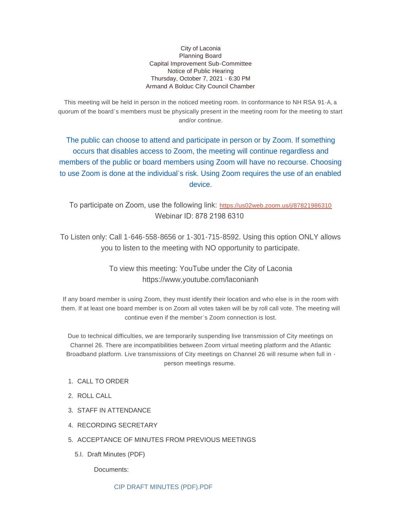City of Laconia Planning Board Capital Improvement Sub-Committee Notice of Public Hearing Thursday, October 7, 2021 - 6:30 PM Armand A Bolduc City Council Chamber

This meeting will be held in person in the noticed meeting room. In conformance to NH RSA 91-A, a quorum of the board's members must be physically present in the meeting room for the meeting to start and/or continue.

The public can choose to attend and participate in person or by Zoom. If something occurs that disables access to Zoom, the meeting will continue regardless and members of the public or board members using Zoom will have no recourse. Choosing to use Zoom is done at the individual's risk. Using Zoom requires the use of an enabled device.

To participate on Zoom, use the following link: <https://us02web.zoom.us/j/87821986310> Webinar ID: 878 2198 6310

To Listen only: Call 1-646-558-8656 or 1-301-715-8592. Using this option ONLY allows you to listen to the meeting with NO opportunity to participate.

> To view this meeting: YouTube under the City of Laconia https://www,youtube.com/laconianh

If any board member is using Zoom, they must identify their location and who else is in the room with them. If at least one board member is on Zoom all votes taken will be by roll call vote. The meeting will continue even if the member's Zoom connection is lost.

Due to technical difficulties, we are temporarily suspending live transmission of City meetings on Channel 26. There are incompatibilities between Zoom virtual meeting platform and the Atlantic Broadband platform. Live transmissions of City meetings on Channel 26 will resume when full in person meetings resume.

- 1. CALL TO ORDER
- 2. ROLL CALL
- 3. STAFF IN ATTENDANCE
- 4. RECORDING SECRETARY
- 5. ACCEPTANCE OF MINUTES FROM PREVIOUS MEETINGS
	- 5.I. Draft Minutes (PDF)

Documents:

[CIP DRAFT MINUTES \(PDF\).PDF](https://www.laconianh.gov/AgendaCenter/ViewFile/Item/17830?fileID=42426)